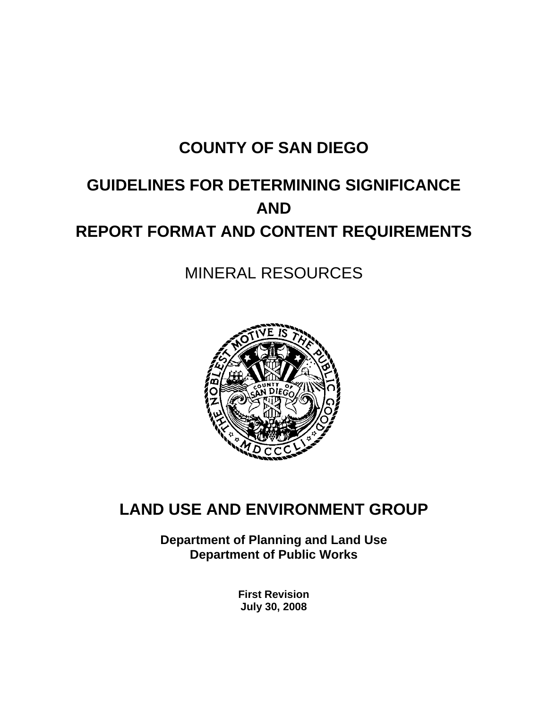# **COUNTY OF SAN DIEGO**

# **GUIDELINES FOR DETERMINING SIGNIFICANCE AND REPORT FORMAT AND CONTENT REQUIREMENTS**

# MINERAL RESOURCES



# **LAND USE AND ENVIRONMENT GROUP**

**Department of Planning and Land Use Department of Public Works** 

> **First Revision July 30, 2008**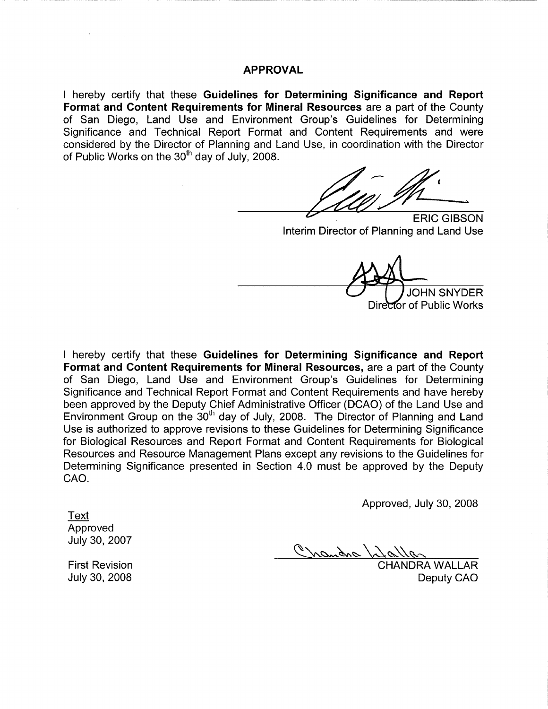#### **APPROVAL**

I hereby certify that these Guidelines for Determining Significance and Report Format and Content Requirements for Mineral Resources are a part of the County of San Diego, Land Use and Environment Group's Guidelines for Determining Significance and Technical Report Format and Content Requirements and were considered by the Director of Planning and Land Use, in coordination with the Director of Public Works on the 30<sup>th</sup> day of July, 2008.

**ERIC GIBSON** Interim Director of Planning and Land Use

**JOHN SNYDER** Director of Public Works

I hereby certify that these Guidelines for Determining Significance and Report Format and Content Requirements for Mineral Resources, are a part of the County of San Diego, Land Use and Environment Group's Guidelines for Determining Significance and Technical Report Format and Content Requirements and have hereby been approved by the Deputy Chief Administrative Officer (DCAO) of the Land Use and Environment Group on the 30<sup>th</sup> day of July, 2008. The Director of Planning and Land Use is authorized to approve revisions to these Guidelines for Determining Significance for Biological Resources and Report Format and Content Requirements for Biological Resources and Resource Management Plans except any revisions to the Guidelines for Determining Significance presented in Section 4.0 must be approved by the Deputy CAO.

Approved, July 30, 2008

**Text** Approved July 30, 2007

Chandra /2

**CHANDRA WALLAR** Deputy CAO

**First Revision** July 30, 2008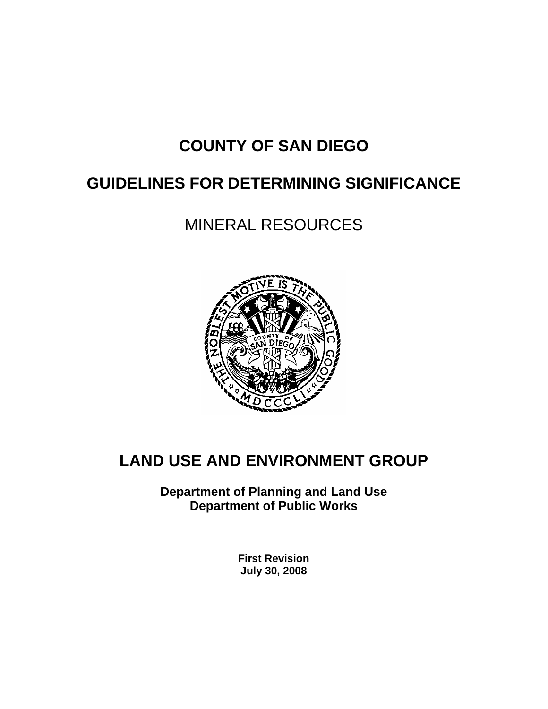# **COUNTY OF SAN DIEGO**

# **GUIDELINES FOR DETERMINING SIGNIFICANCE**

# MINERAL RESOURCES



# **LAND USE AND ENVIRONMENT GROUP**

**Department of Planning and Land Use Department of Public Works** 

> **First Revision July 30, 2008**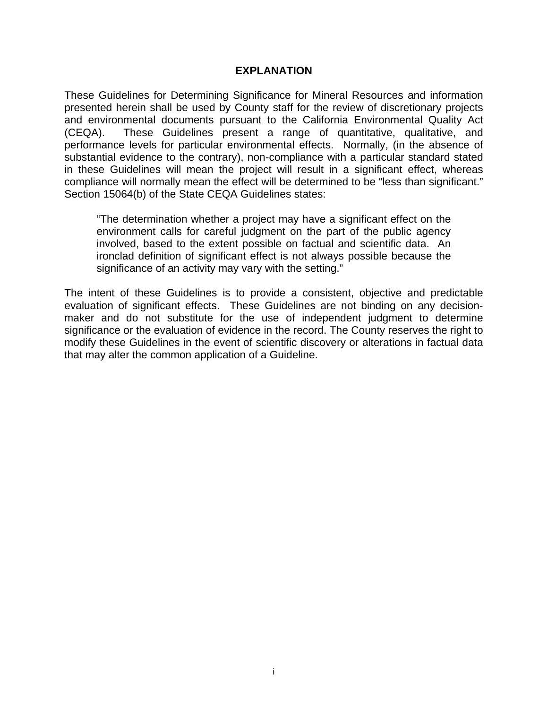#### **EXPLANATION**

These Guidelines for Determining Significance for Mineral Resources and information presented herein shall be used by County staff for the review of discretionary projects and environmental documents pursuant to the California Environmental Quality Act (CEQA). These Guidelines present a range of quantitative, qualitative, and performance levels for particular environmental effects. Normally, (in the absence of substantial evidence to the contrary), non-compliance with a particular standard stated in these Guidelines will mean the project will result in a significant effect, whereas compliance will normally mean the effect will be determined to be "less than significant." Section 15064(b) of the State CEQA Guidelines states:

"The determination whether a project may have a significant effect on the environment calls for careful judgment on the part of the public agency involved, based to the extent possible on factual and scientific data. An ironclad definition of significant effect is not always possible because the significance of an activity may vary with the setting."

The intent of these Guidelines is to provide a consistent, objective and predictable evaluation of significant effects. These Guidelines are not binding on any decisionmaker and do not substitute for the use of independent judgment to determine significance or the evaluation of evidence in the record. The County reserves the right to modify these Guidelines in the event of scientific discovery or alterations in factual data that may alter the common application of a Guideline.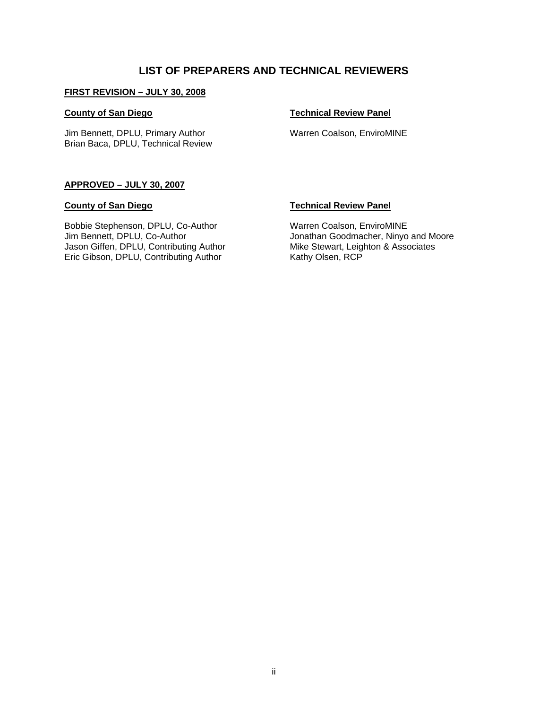#### **LIST OF PREPARERS AND TECHNICAL REVIEWERS**

#### **FIRST REVISION – JULY 30, 2008**

#### **County of San Diego**

Jim Bennett, DPLU, Primary Author Brian Baca, DPLU, Technical Review

#### **Technical Review Panel**

Warren Coalson, EnviroMINE

#### **APPROVED – JULY 30, 2007**

#### **County of San Diego**

Bobbie Stephenson, DPLU, Co-Author Jim Bennett, DPLU, Co-Author Jason Giffen, DPLU, Contributing Author Eric Gibson, DPLU, Contributing Author

#### **Technical Review Panel**

Warren Coalson, EnviroMINE Jonathan Goodmacher, Ninyo and Moore Mike Stewart, Leighton & Associates Kathy Olsen, RCP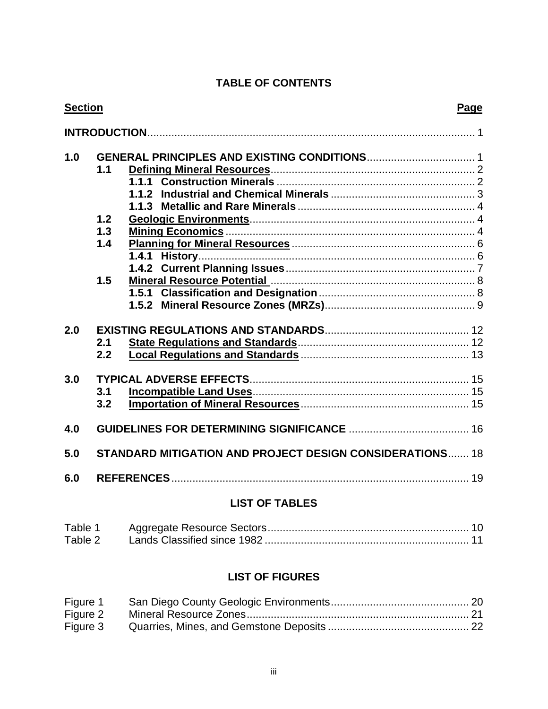# **TABLE OF CONTENTS**

|     | <b>Section</b> |                                                                 |    |
|-----|----------------|-----------------------------------------------------------------|----|
|     |                |                                                                 |    |
| 1.0 |                |                                                                 |    |
|     | 1.1            |                                                                 |    |
|     |                |                                                                 |    |
|     |                | 1.1.2                                                           |    |
|     |                | 1.1.3                                                           |    |
|     | 1.2            |                                                                 |    |
|     | 1.3            |                                                                 |    |
|     | 1.4            |                                                                 |    |
|     |                |                                                                 |    |
|     |                |                                                                 |    |
|     | 1.5            |                                                                 |    |
|     |                |                                                                 |    |
|     |                |                                                                 |    |
| 2.0 |                |                                                                 |    |
|     | 2.1            |                                                                 |    |
|     | 2.2            |                                                                 |    |
| 3.0 |                |                                                                 |    |
|     | 3.1            |                                                                 |    |
|     | 3.2            |                                                                 |    |
| 4.0 |                |                                                                 |    |
| 5.0 |                | <b>STANDARD MITIGATION AND PROJECT DESIGN CONSIDERATIONS 18</b> |    |
| 6.0 |                |                                                                 | 19 |
|     |                |                                                                 |    |

## **LIST OF TABLES**

| Table 1 |  |
|---------|--|
| Table 2 |  |

## **LIST OF FIGURES**

| Figure 1 |  |
|----------|--|
| Figure 2 |  |
| Figure 3 |  |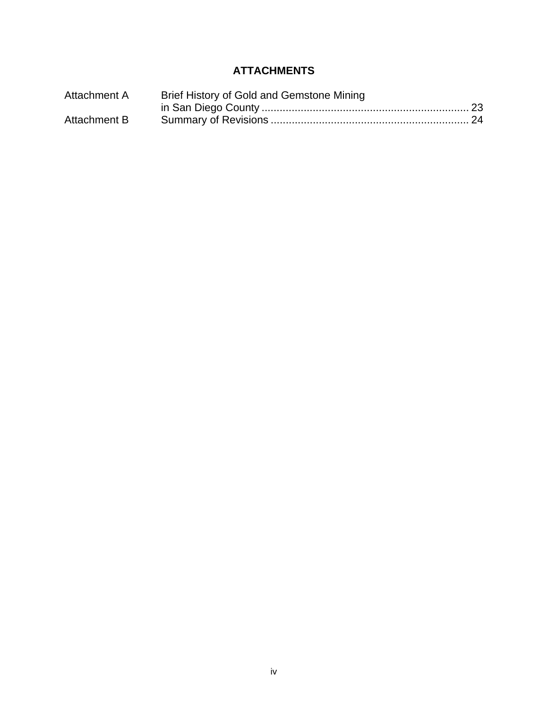# **ATTACHMENTS**

| Attachment A | Brief History of Gold and Gemstone Mining |  |
|--------------|-------------------------------------------|--|
|              |                                           |  |
| Attachment B |                                           |  |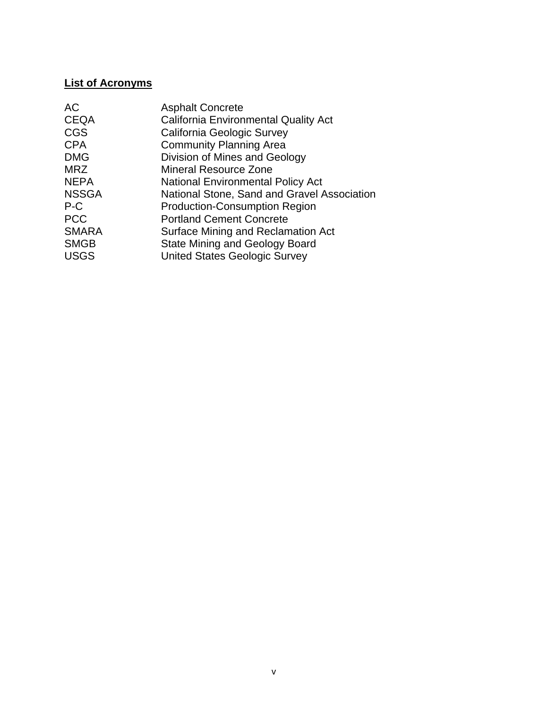## **List of Acronyms**

| <b>Asphalt Concrete</b>                     |
|---------------------------------------------|
| <b>California Environmental Quality Act</b> |
| California Geologic Survey                  |
| <b>Community Planning Area</b>              |
| Division of Mines and Geology               |
| <b>Mineral Resource Zone</b>                |
| <b>National Environmental Policy Act</b>    |
| National Stone, Sand and Gravel Association |
| <b>Production-Consumption Region</b>        |
| <b>Portland Cement Concrete</b>             |
| Surface Mining and Reclamation Act          |
| <b>State Mining and Geology Board</b>       |
| <b>United States Geologic Survey</b>        |
|                                             |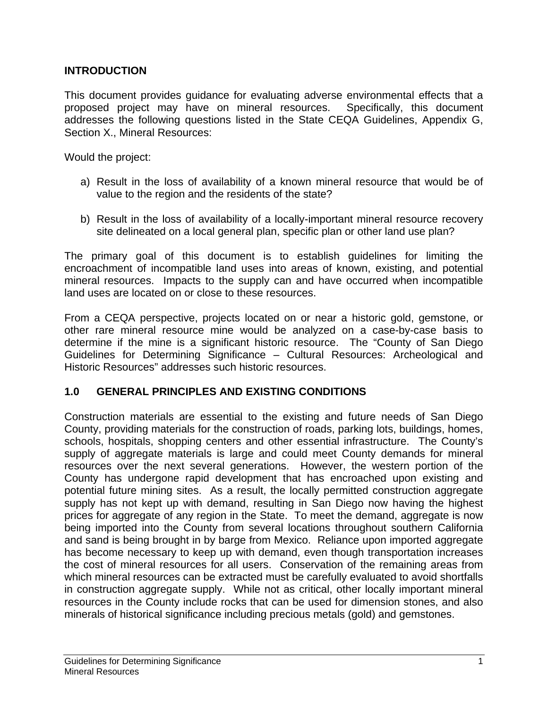## **INTRODUCTION**

This document provides guidance for evaluating adverse environmental effects that a proposed project may have on mineral resources. Specifically, this document addresses the following questions listed in the State CEQA Guidelines, Appendix G, Section X., Mineral Resources:

Would the project:

- a) Result in the loss of availability of a known mineral resource that would be of value to the region and the residents of the state?
- b) Result in the loss of availability of a locally-important mineral resource recovery site delineated on a local general plan, specific plan or other land use plan?

The primary goal of this document is to establish guidelines for limiting the encroachment of incompatible land uses into areas of known, existing, and potential mineral resources. Impacts to the supply can and have occurred when incompatible land uses are located on or close to these resources.

From a CEQA perspective, projects located on or near a historic gold, gemstone, or other rare mineral resource mine would be analyzed on a case-by-case basis to determine if the mine is a significant historic resource. The "County of San Diego Guidelines for Determining Significance – Cultural Resources: Archeological and Historic Resources" addresses such historic resources.

### **1.0 GENERAL PRINCIPLES AND EXISTING CONDITIONS**

Construction materials are essential to the existing and future needs of San Diego County, providing materials for the construction of roads, parking lots, buildings, homes, schools, hospitals, shopping centers and other essential infrastructure. The County's supply of aggregate materials is large and could meet County demands for mineral resources over the next several generations. However, the western portion of the County has undergone rapid development that has encroached upon existing and potential future mining sites. As a result, the locally permitted construction aggregate supply has not kept up with demand, resulting in San Diego now having the highest prices for aggregate of any region in the State. To meet the demand, aggregate is now being imported into the County from several locations throughout southern California and sand is being brought in by barge from Mexico. Reliance upon imported aggregate has become necessary to keep up with demand, even though transportation increases the cost of mineral resources for all users. Conservation of the remaining areas from which mineral resources can be extracted must be carefully evaluated to avoid shortfalls in construction aggregate supply. While not as critical, other locally important mineral resources in the County include rocks that can be used for dimension stones, and also minerals of historical significance including precious metals (gold) and gemstones.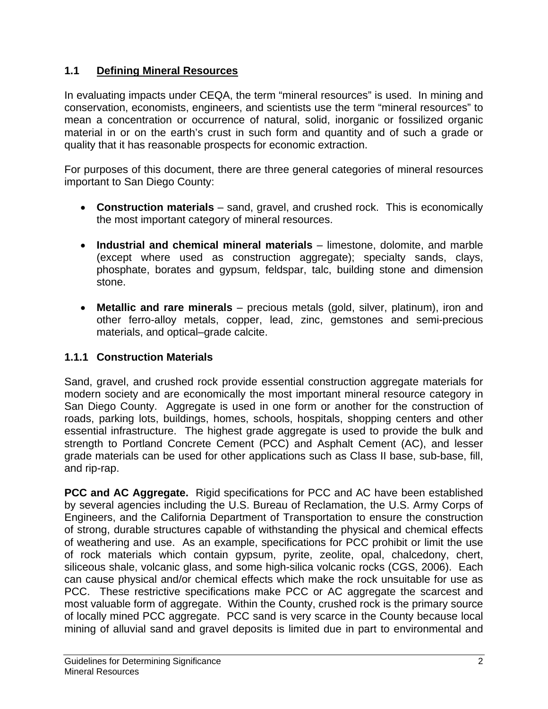# **1.1 Defining Mineral Resources**

In evaluating impacts under CEQA, the term "mineral resources" is used. In mining and conservation, economists, engineers, and scientists use the term "mineral resources" to mean a concentration or occurrence of natural, solid, inorganic or fossilized organic material in or on the earth's crust in such form and quantity and of such a grade or quality that it has reasonable prospects for economic extraction.

For purposes of this document, there are three general categories of mineral resources important to San Diego County:

- **Construction materials** sand, gravel, and crushed rock. This is economically the most important category of mineral resources.
- **Industrial and chemical mineral materials** limestone, dolomite, and marble (except where used as construction aggregate); specialty sands, clays, phosphate, borates and gypsum, feldspar, talc, building stone and dimension stone.
- **Metallic and rare minerals** precious metals (gold, silver, platinum), iron and other ferro-alloy metals, copper, lead, zinc, gemstones and semi-precious materials, and optical–grade calcite.

# **1.1.1 Construction Materials**

Sand, gravel, and crushed rock provide essential construction aggregate materials for modern society and are economically the most important mineral resource category in San Diego County. Aggregate is used in one form or another for the construction of roads, parking lots, buildings, homes, schools, hospitals, shopping centers and other essential infrastructure. The highest grade aggregate is used to provide the bulk and strength to Portland Concrete Cement (PCC) and Asphalt Cement (AC), and lesser grade materials can be used for other applications such as Class II base, sub-base, fill, and rip-rap.

**PCC and AC Aggregate.** Rigid specifications for PCC and AC have been established by several agencies including the U.S. Bureau of Reclamation, the U.S. Army Corps of Engineers, and the California Department of Transportation to ensure the construction of strong, durable structures capable of withstanding the physical and chemical effects of weathering and use. As an example, specifications for PCC prohibit or limit the use of rock materials which contain gypsum, pyrite, zeolite, opal, chalcedony, chert, siliceous shale, volcanic glass, and some high-silica volcanic rocks (CGS, 2006). Each can cause physical and/or chemical effects which make the rock unsuitable for use as PCC. These restrictive specifications make PCC or AC aggregate the scarcest and most valuable form of aggregate. Within the County, crushed rock is the primary source of locally mined PCC aggregate. PCC sand is very scarce in the County because local mining of alluvial sand and gravel deposits is limited due in part to environmental and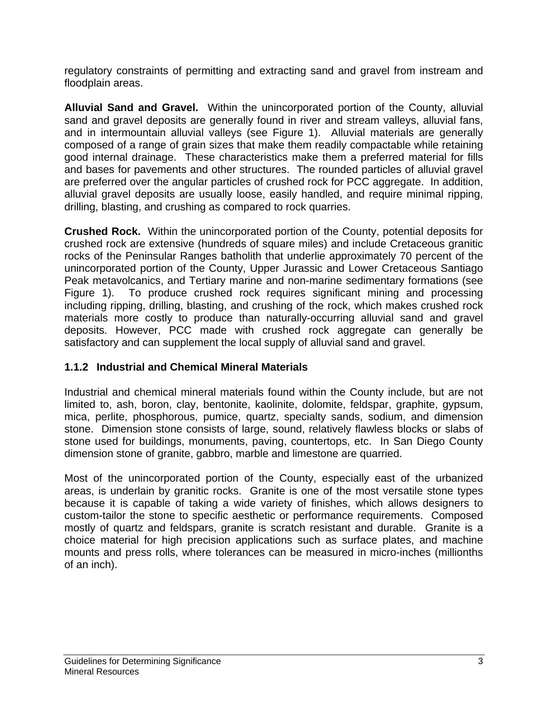regulatory constraints of permitting and extracting sand and gravel from instream and floodplain areas.

**Alluvial Sand and Gravel.** Within the unincorporated portion of the County, alluvial sand and gravel deposits are generally found in river and stream valleys, alluvial fans, and in intermountain alluvial valleys (see Figure 1). Alluvial materials are generally composed of a range of grain sizes that make them readily compactable while retaining good internal drainage. These characteristics make them a preferred material for fills and bases for pavements and other structures. The rounded particles of alluvial gravel are preferred over the angular particles of crushed rock for PCC aggregate. In addition, alluvial gravel deposits are usually loose, easily handled, and require minimal ripping, drilling, blasting, and crushing as compared to rock quarries.

**Crushed Rock.** Within the unincorporated portion of the County, potential deposits for crushed rock are extensive (hundreds of square miles) and include Cretaceous granitic rocks of the Peninsular Ranges batholith that underlie approximately 70 percent of the unincorporated portion of the County, Upper Jurassic and Lower Cretaceous Santiago Peak metavolcanics, and Tertiary marine and non-marine sedimentary formations (see Figure 1). To produce crushed rock requires significant mining and processing including ripping, drilling, blasting, and crushing of the rock, which makes crushed rock materials more costly to produce than naturally-occurring alluvial sand and gravel deposits. However, PCC made with crushed rock aggregate can generally be satisfactory and can supplement the local supply of alluvial sand and gravel.

# **1.1.2 Industrial and Chemical Mineral Materials**

Industrial and chemical mineral materials found within the County include, but are not limited to, ash, boron, clay, bentonite, kaolinite, dolomite, feldspar, graphite, gypsum, mica, perlite, phosphorous, pumice, quartz, specialty sands, sodium, and dimension stone. Dimension stone consists of large, sound, relatively flawless blocks or slabs of stone used for buildings, monuments, paving, countertops, etc. In San Diego County dimension stone of granite, gabbro, marble and limestone are quarried.

Most of the unincorporated portion of the County, especially east of the urbanized areas, is underlain by granitic rocks. Granite is one of the most versatile stone types because it is capable of taking a wide variety of finishes, which allows designers to custom-tailor the stone to specific aesthetic or performance requirements. Composed mostly of quartz and feldspars, granite is scratch resistant and durable. Granite is a choice material for high precision applications such as surface plates, and machine mounts and press rolls, where tolerances can be measured in micro-inches (millionths of an inch).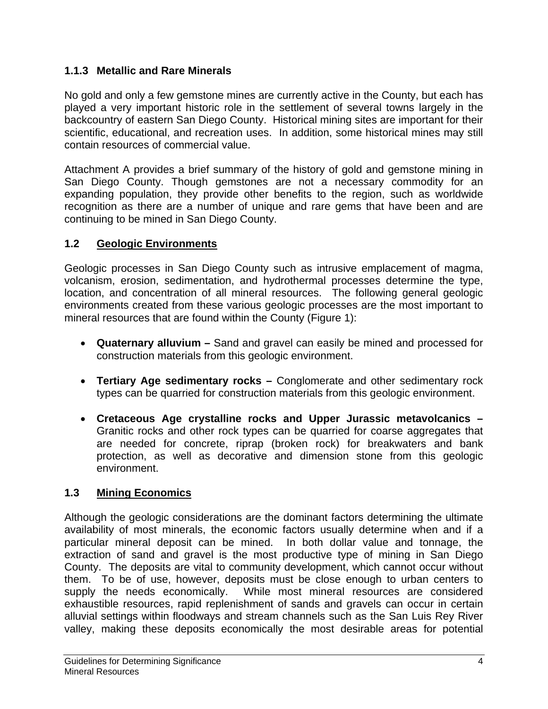# **1.1.3 Metallic and Rare Minerals**

No gold and only a few gemstone mines are currently active in the County, but each has played a very important historic role in the settlement of several towns largely in the backcountry of eastern San Diego County. Historical mining sites are important for their scientific, educational, and recreation uses. In addition, some historical mines may still contain resources of commercial value.

Attachment A provides a brief summary of the history of gold and gemstone mining in San Diego County. Though gemstones are not a necessary commodity for an expanding population, they provide other benefits to the region, such as worldwide recognition as there are a number of unique and rare gems that have been and are continuing to be mined in San Diego County.

# **1.2 Geologic Environments**

Geologic processes in San Diego County such as intrusive emplacement of magma, volcanism, erosion, sedimentation, and hydrothermal processes determine the type, location, and concentration of all mineral resources.The following general geologic environments created from these various geologic processes are the most important to mineral resources that are found within the County (Figure 1):

- **Quaternary alluvium** Sand and gravel can easily be mined and processed for construction materials from this geologic environment.
- **Tertiary Age sedimentary rocks –** Conglomerate and other sedimentary rock types can be quarried for construction materials from this geologic environment.
- **Cretaceous Age crystalline rocks and Upper Jurassic metavolcanics –** Granitic rocks and other rock types can be quarried for coarse aggregates that are needed for concrete, riprap (broken rock) for breakwaters and bank protection, as well as decorative and dimension stone from this geologic environment.

# **1.3 Mining Economics**

Although the geologic considerations are the dominant factors determining the ultimate availability of most minerals, the economic factors usually determine when and if a particular mineral deposit can be mined. In both dollar value and tonnage, the extraction of sand and gravel is the most productive type of mining in San Diego County. The deposits are vital to community development, which cannot occur without them. To be of use, however, deposits must be close enough to urban centers to supply the needs economically. While most mineral resources are considered exhaustible resources, rapid replenishment of sands and gravels can occur in certain alluvial settings within floodways and stream channels such as the San Luis Rey River valley, making these deposits economically the most desirable areas for potential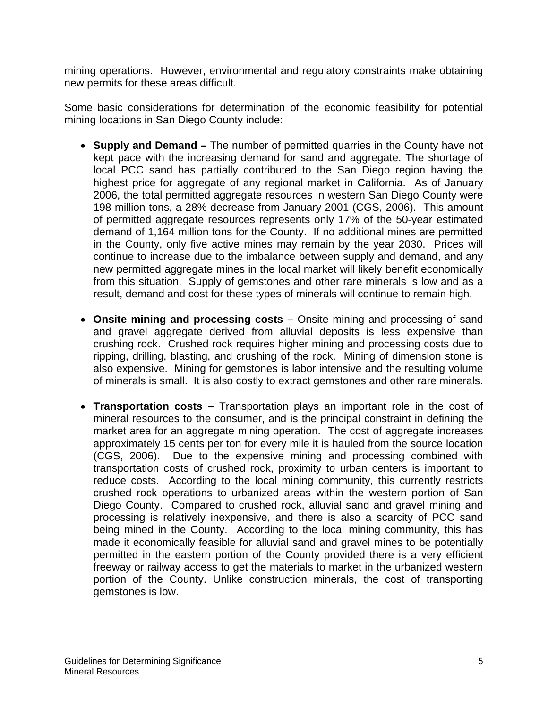mining operations. However, environmental and regulatory constraints make obtaining new permits for these areas difficult.

Some basic considerations for determination of the economic feasibility for potential mining locations in San Diego County include:

- **Supply and Demand** The number of permitted quarries in the County have not kept pace with the increasing demand for sand and aggregate. The shortage of local PCC sand has partially contributed to the San Diego region having the highest price for aggregate of any regional market in California. As of January 2006, the total permitted aggregate resources in western San Diego County were 198 million tons, a 28% decrease from January 2001 (CGS, 2006). This amount of permitted aggregate resources represents only 17% of the 50-year estimated demand of 1,164 million tons for the County. If no additional mines are permitted in the County, only five active mines may remain by the year 2030. Prices will continue to increase due to the imbalance between supply and demand, and any new permitted aggregate mines in the local market will likely benefit economically from this situation. Supply of gemstones and other rare minerals is low and as a result, demand and cost for these types of minerals will continue to remain high.
- **Onsite mining and processing costs** Onsite mining and processing of sand and gravel aggregate derived from alluvial deposits is less expensive than crushing rock. Crushed rock requires higher mining and processing costs due to ripping, drilling, blasting, and crushing of the rock. Mining of dimension stone is also expensive. Mining for gemstones is labor intensive and the resulting volume of minerals is small. It is also costly to extract gemstones and other rare minerals.
- **Transportation costs** Transportation plays an important role in the cost of mineral resources to the consumer, and is the principal constraint in defining the market area for an aggregate mining operation. The cost of aggregate increases approximately 15 cents per ton for every mile it is hauled from the source location (CGS, 2006). Due to the expensive mining and processing combined with transportation costs of crushed rock, proximity to urban centers is important to reduce costs. According to the local mining community, this currently restricts crushed rock operations to urbanized areas within the western portion of San Diego County. Compared to crushed rock, alluvial sand and gravel mining and processing is relatively inexpensive, and there is also a scarcity of PCC sand being mined in the County. According to the local mining community, this has made it economically feasible for alluvial sand and gravel mines to be potentially permitted in the eastern portion of the County provided there is a very efficient freeway or railway access to get the materials to market in the urbanized western portion of the County. Unlike construction minerals, the cost of transporting gemstones is low.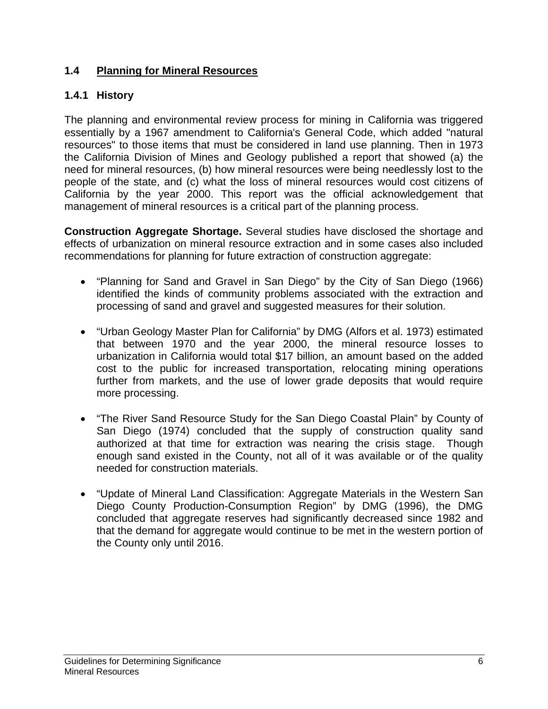# **1.4 Planning for Mineral Resources**

# **1.4.1 History**

The planning and environmental review process for mining in California was triggered essentially by a 1967 amendment to California's General Code, which added "natural resources" to those items that must be considered in land use planning. Then in 1973 the California Division of Mines and Geology published a report that showed (a) the need for mineral resources, (b) how mineral resources were being needlessly lost to the people of the state, and (c) what the loss of mineral resources would cost citizens of California by the year 2000. This report was the official acknowledgement that management of mineral resources is a critical part of the planning process.

**Construction Aggregate Shortage.** Several studies have disclosed the shortage and effects of urbanization on mineral resource extraction and in some cases also included recommendations for planning for future extraction of construction aggregate:

- "Planning for Sand and Gravel in San Diego" by the City of San Diego (1966) identified the kinds of community problems associated with the extraction and processing of sand and gravel and suggested measures for their solution.
- "Urban Geology Master Plan for California" by DMG (Alfors et al. 1973) estimated that between 1970 and the year 2000, the mineral resource losses to urbanization in California would total \$17 billion, an amount based on the added cost to the public for increased transportation, relocating mining operations further from markets, and the use of lower grade deposits that would require more processing.
- "The River Sand Resource Study for the San Diego Coastal Plain" by County of San Diego (1974) concluded that the supply of construction quality sand authorized at that time for extraction was nearing the crisis stage. Though enough sand existed in the County, not all of it was available or of the quality needed for construction materials.
- "Update of Mineral Land Classification: Aggregate Materials in the Western San Diego County Production-Consumption Region" by DMG (1996), the DMG concluded that aggregate reserves had significantly decreased since 1982 and that the demand for aggregate would continue to be met in the western portion of the County only until 2016.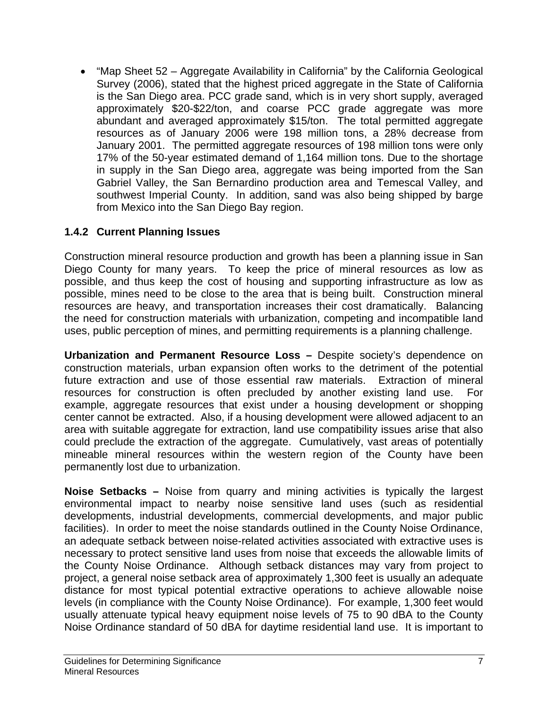• "Map Sheet 52 – Aggregate Availability in California" by the California Geological Survey (2006), stated that the highest priced aggregate in the State of California is the San Diego area. PCC grade sand, which is in very short supply, averaged approximately \$20-\$22/ton, and coarse PCC grade aggregate was more abundant and averaged approximately \$15/ton. The total permitted aggregate resources as of January 2006 were 198 million tons, a 28% decrease from January 2001. The permitted aggregate resources of 198 million tons were only 17% of the 50-year estimated demand of 1,164 million tons. Due to the shortage in supply in the San Diego area, aggregate was being imported from the San Gabriel Valley, the San Bernardino production area and Temescal Valley, and southwest Imperial County. In addition, sand was also being shipped by barge from Mexico into the San Diego Bay region.

# **1.4.2 Current Planning Issues**

Construction mineral resource production and growth has been a planning issue in San Diego County for many years. To keep the price of mineral resources as low as possible, and thus keep the cost of housing and supporting infrastructure as low as possible, mines need to be close to the area that is being built. Construction mineral resources are heavy, and transportation increases their cost dramatically. Balancing the need for construction materials with urbanization, competing and incompatible land uses, public perception of mines, and permitting requirements is a planning challenge.

**Urbanization and Permanent Resource Loss –** Despite society's dependence on construction materials, urban expansion often works to the detriment of the potential future extraction and use of those essential raw materials. Extraction of mineral resources for construction is often precluded by another existing land use. For example, aggregate resources that exist under a housing development or shopping center cannot be extracted. Also, if a housing development were allowed adjacent to an area with suitable aggregate for extraction, land use compatibility issues arise that also could preclude the extraction of the aggregate. Cumulatively, vast areas of potentially mineable mineral resources within the western region of the County have been permanently lost due to urbanization.

**Noise Setbacks –** Noise from quarry and mining activities is typically the largest environmental impact to nearby noise sensitive land uses (such as residential developments, industrial developments, commercial developments, and major public facilities). In order to meet the noise standards outlined in the County Noise Ordinance, an adequate setback between noise-related activities associated with extractive uses is necessary to protect sensitive land uses from noise that exceeds the allowable limits of the County Noise Ordinance. Although setback distances may vary from project to project, a general noise setback area of approximately 1,300 feet is usually an adequate distance for most typical potential extractive operations to achieve allowable noise levels (in compliance with the County Noise Ordinance). For example, 1,300 feet would usually attenuate typical heavy equipment noise levels of 75 to 90 dBA to the County Noise Ordinance standard of 50 dBA for daytime residential land use. It is important to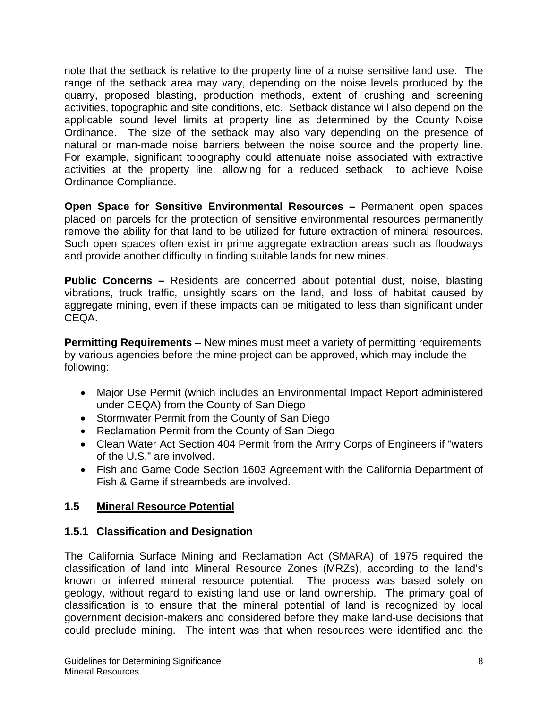note that the setback is relative to the property line of a noise sensitive land use. The range of the setback area may vary, depending on the noise levels produced by the quarry, proposed blasting, production methods, extent of crushing and screening activities, topographic and site conditions, etc. Setback distance will also depend on the applicable sound level limits at property line as determined by the County Noise Ordinance. The size of the setback may also vary depending on the presence of natural or man-made noise barriers between the noise source and the property line. For example, significant topography could attenuate noise associated with extractive activities at the property line, allowing for a reduced setback to achieve Noise Ordinance Compliance.

**Open Space for Sensitive Environmental Resources –** Permanent open spaces placed on parcels for the protection of sensitive environmental resources permanently remove the ability for that land to be utilized for future extraction of mineral resources. Such open spaces often exist in prime aggregate extraction areas such as floodways and provide another difficulty in finding suitable lands for new mines.

**Public Concerns –** Residents are concerned about potential dust, noise, blasting vibrations, truck traffic, unsightly scars on the land, and loss of habitat caused by aggregate mining, even if these impacts can be mitigated to less than significant under CEQA.

**Permitting Requirements** – New mines must meet a variety of permitting requirements by various agencies before the mine project can be approved, which may include the following:

- Major Use Permit (which includes an Environmental Impact Report administered under CEQA) from the County of San Diego
- Stormwater Permit from the County of San Diego
- Reclamation Permit from the County of San Diego
- Clean Water Act Section 404 Permit from the Army Corps of Engineers if "waters of the U.S." are involved.
- Fish and Game Code Section 1603 Agreement with the California Department of Fish & Game if streambeds are involved.

# **1.5 Mineral Resource Potential**

# **1.5.1 Classification and Designation**

The California Surface Mining and Reclamation Act (SMARA) of 1975 required the classification of land into Mineral Resource Zones (MRZs), according to the land's known or inferred mineral resource potential. The process was based solely on geology, without regard to existing land use or land ownership. The primary goal of classification is to ensure that the mineral potential of land is recognized by local government decision-makers and considered before they make land-use decisions that could preclude mining. The intent was that when resources were identified and the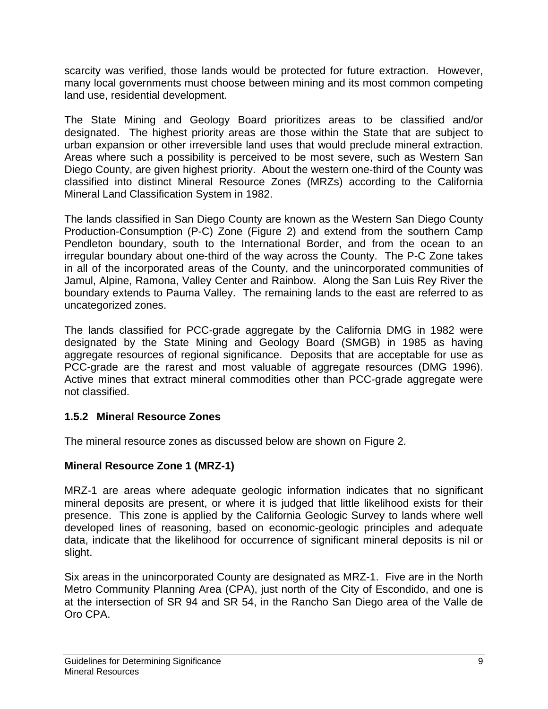scarcity was verified, those lands would be protected for future extraction. However, many local governments must choose between mining and its most common competing land use, residential development.

The State Mining and Geology Board prioritizes areas to be classified and/or designated. The highest priority areas are those within the State that are subject to urban expansion or other irreversible land uses that would preclude mineral extraction. Areas where such a possibility is perceived to be most severe, such as Western San Diego County, are given highest priority. About the western one-third of the County was classified into distinct Mineral Resource Zones (MRZs) according to the California Mineral Land Classification System in 1982.

The lands classified in San Diego County are known as the Western San Diego County Production-Consumption (P-C) Zone (Figure 2) and extend from the southern Camp Pendleton boundary, south to the International Border, and from the ocean to an irregular boundary about one-third of the way across the County. The P-C Zone takes in all of the incorporated areas of the County, and the unincorporated communities of Jamul, Alpine, Ramona, Valley Center and Rainbow. Along the San Luis Rey River the boundary extends to Pauma Valley. The remaining lands to the east are referred to as uncategorized zones.

The lands classified for PCC-grade aggregate by the California DMG in 1982 were designated by the State Mining and Geology Board (SMGB) in 1985 as having aggregate resources of regional significance. Deposits that are acceptable for use as PCC-grade are the rarest and most valuable of aggregate resources (DMG 1996). Active mines that extract mineral commodities other than PCC-grade aggregate were not classified.

# **1.5.2 Mineral Resource Zones**

The mineral resource zones as discussed below are shown on Figure 2.

# **Mineral Resource Zone 1 (MRZ-1)**

MRZ-1 are areas where adequate geologic information indicates that no significant mineral deposits are present, or where it is judged that little likelihood exists for their presence. This zone is applied by the California Geologic Survey to lands where well developed lines of reasoning, based on economic-geologic principles and adequate data, indicate that the likelihood for occurrence of significant mineral deposits is nil or slight.

Six areas in the unincorporated County are designated as MRZ-1. Five are in the North Metro Community Planning Area (CPA), just north of the City of Escondido, and one is at the intersection of SR 94 and SR 54, in the Rancho San Diego area of the Valle de Oro CPA.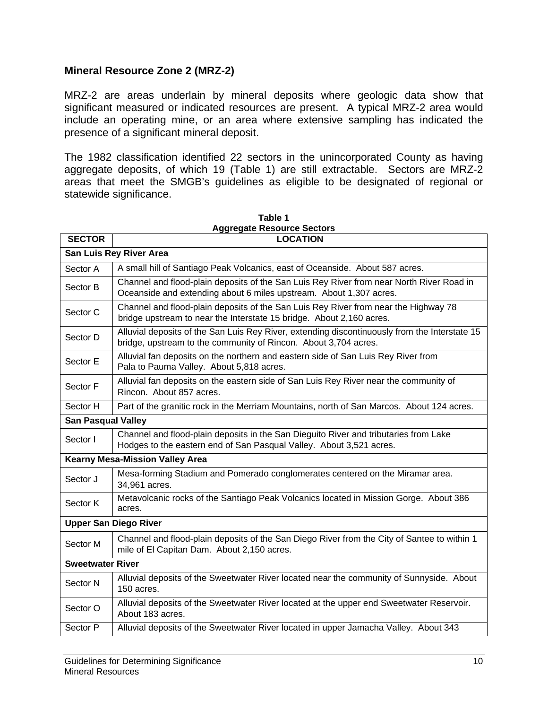### **Mineral Resource Zone 2 (MRZ-2)**

MRZ-2 are areas underlain by mineral deposits where geologic data show that significant measured or indicated resources are present. A typical MRZ-2 area would include an operating mine, or an area where extensive sampling has indicated the presence of a significant mineral deposit.

The 1982 classification identified 22 sectors in the unincorporated County as having aggregate deposits, of which 19 (Table 1) are still extractable. Sectors are MRZ-2 areas that meet the SMGB's guidelines as eligible to be designated of regional or statewide significance.

| <b>SECTOR</b>                                                                                                                                                           | , agus noscai os sootoro<br><b>LOCATION</b>                                                                                                                      |  |  |
|-------------------------------------------------------------------------------------------------------------------------------------------------------------------------|------------------------------------------------------------------------------------------------------------------------------------------------------------------|--|--|
| San Luis Rey River Area                                                                                                                                                 |                                                                                                                                                                  |  |  |
| Sector A                                                                                                                                                                | A small hill of Santiago Peak Volcanics, east of Oceanside. About 587 acres.                                                                                     |  |  |
| Sector B                                                                                                                                                                | Channel and flood-plain deposits of the San Luis Rey River from near North River Road in<br>Oceanside and extending about 6 miles upstream. About 1,307 acres.   |  |  |
| Sector C                                                                                                                                                                | Channel and flood-plain deposits of the San Luis Rey River from near the Highway 78<br>bridge upstream to near the Interstate 15 bridge. About 2,160 acres.      |  |  |
| Sector D                                                                                                                                                                | Alluvial deposits of the San Luis Rey River, extending discontinuously from the Interstate 15<br>bridge, upstream to the community of Rincon. About 3,704 acres. |  |  |
| Sector E                                                                                                                                                                | Alluvial fan deposits on the northern and eastern side of San Luis Rey River from<br>Pala to Pauma Valley. About 5,818 acres.                                    |  |  |
| Sector F                                                                                                                                                                | Alluvial fan deposits on the eastern side of San Luis Rey River near the community of<br>Rincon. About 857 acres.                                                |  |  |
| Sector H                                                                                                                                                                | Part of the granitic rock in the Merriam Mountains, north of San Marcos. About 124 acres.                                                                        |  |  |
|                                                                                                                                                                         | <b>San Pasqual Valley</b>                                                                                                                                        |  |  |
| Channel and flood-plain deposits in the San Dieguito River and tributaries from Lake<br>Sector I<br>Hodges to the eastern end of San Pasqual Valley. About 3,521 acres. |                                                                                                                                                                  |  |  |
|                                                                                                                                                                         | <b>Kearny Mesa-Mission Valley Area</b>                                                                                                                           |  |  |
| Sector J                                                                                                                                                                | Mesa-forming Stadium and Pomerado conglomerates centered on the Miramar area.<br>34,961 acres.                                                                   |  |  |
| Metavolcanic rocks of the Santiago Peak Volcanics located in Mission Gorge. About 386<br>Sector K<br>acres.                                                             |                                                                                                                                                                  |  |  |
|                                                                                                                                                                         | <b>Upper San Diego River</b>                                                                                                                                     |  |  |
| Channel and flood-plain deposits of the San Diego River from the City of Santee to within 1<br>Sector M<br>mile of El Capitan Dam. About 2,150 acres.                   |                                                                                                                                                                  |  |  |
| <b>Sweetwater River</b>                                                                                                                                                 |                                                                                                                                                                  |  |  |
| Sector N                                                                                                                                                                | Alluvial deposits of the Sweetwater River located near the community of Sunnyside. About<br>150 acres.                                                           |  |  |
| Sector O                                                                                                                                                                | Alluvial deposits of the Sweetwater River located at the upper end Sweetwater Reservoir.<br>About 183 acres.                                                     |  |  |
| Sector P                                                                                                                                                                | Alluvial deposits of the Sweetwater River located in upper Jamacha Valley. About 343                                                                             |  |  |

**Table 1 Aggregate Resource Sectors**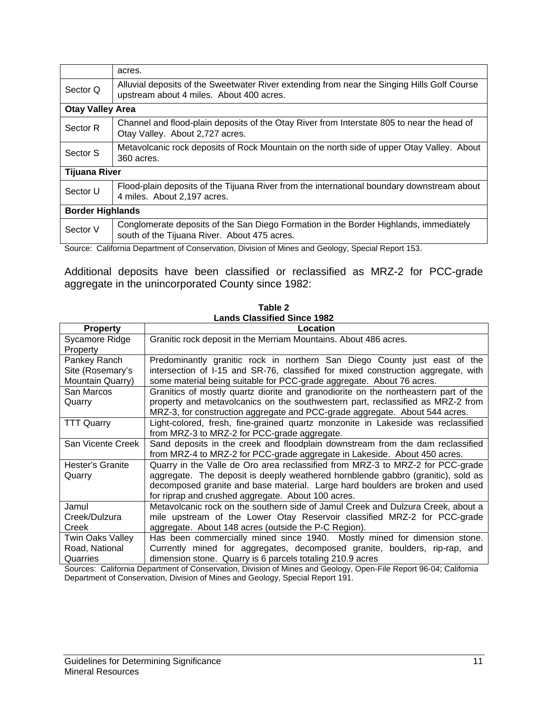|                         | acres.                                                                                                                                  |  |
|-------------------------|-----------------------------------------------------------------------------------------------------------------------------------------|--|
| Sector Q                | Alluvial deposits of the Sweetwater River extending from near the Singing Hills Golf Course<br>upstream about 4 miles. About 400 acres. |  |
| <b>Otay Valley Area</b> |                                                                                                                                         |  |
| Sector R                | Channel and flood-plain deposits of the Otay River from Interstate 805 to near the head of<br>Otay Valley. About 2,727 acres.           |  |
| Sector S                | Metavolcanic rock deposits of Rock Mountain on the north side of upper Otay Valley. About<br>360 acres.                                 |  |
| <b>Tijuana River</b>    |                                                                                                                                         |  |
| Sector U                | Flood-plain deposits of the Tijuana River from the international boundary downstream about<br>4 miles. About 2,197 acres.               |  |
| <b>Border Highlands</b> |                                                                                                                                         |  |
| Sector V                | Conglomerate deposits of the San Diego Formation in the Border Highlands, immediately<br>south of the Tijuana River. About 475 acres.   |  |

Source: California Department of Conservation, Division of Mines and Geology, Special Report 153.

Additional deposits have been classified or reclassified as MRZ-2 for PCC-grade aggregate in the unincorporated County since 1982:

| <b>Property</b>   | Location                                                                            |
|-------------------|-------------------------------------------------------------------------------------|
| Sycamore Ridge    | Granitic rock deposit in the Merriam Mountains. About 486 acres.                    |
| Property          |                                                                                     |
| Pankey Ranch      | Predominantly granitic rock in northern San Diego County just east of the           |
| Site (Rosemary's  | intersection of I-15 and SR-76, classified for mixed construction aggregate, with   |
| Mountain Quarry)  | some material being suitable for PCC-grade aggregate. About 76 acres.               |
| San Marcos        | Granitics of mostly quartz diorite and granodiorite on the northeastern part of the |
| Quarry            | property and metavolcanics on the southwestern part, reclassified as MRZ-2 from     |
|                   | MRZ-3, for construction aggregate and PCC-grade aggregate. About 544 acres.         |
| <b>TTT Quarry</b> | Light-colored, fresh, fine-grained quartz monzonite in Lakeside was reclassified    |
|                   | from MRZ-3 to MRZ-2 for PCC-grade aggregate.                                        |
| San Vicente Creek | Sand deposits in the creek and floodplain downstream from the dam reclassified      |
|                   | from MRZ-4 to MRZ-2 for PCC-grade aggregate in Lakeside. About 450 acres.           |
| Hester's Granite  | Quarry in the Valle de Oro area reclassified from MRZ-3 to MRZ-2 for PCC-grade      |
| Quarry            | aggregate. The deposit is deeply weathered hornblende gabbro (granitic), sold as    |
|                   | decomposed granite and base material. Large hard boulders are broken and used       |
|                   | for riprap and crushed aggregate. About 100 acres.                                  |
| Jamul             | Metavolcanic rock on the southern side of Jamul Creek and Dulzura Creek, about a    |
| Creek/Dulzura     | mile upstream of the Lower Otay Reservoir classified MRZ-2 for PCC-grade            |
| Creek             | aggregate. About 148 acres (outside the P-C Region).                                |
| Twin Oaks Valley  | Has been commercially mined since 1940. Mostly mined for dimension stone.           |
| Road, National    | Currently mined for aggregates, decomposed granite, boulders, rip-rap, and          |
| Quarries          | dimension stone. Quarry is 6 parcels totaling 210.9 acres                           |

**Table 2 Lands Classified Since 1982**

Sources: California Department of Conservation, Division of Mines and Geology, Open-File Report 96-04; California Department of Conservation, Division of Mines and Geology, Special Report 191.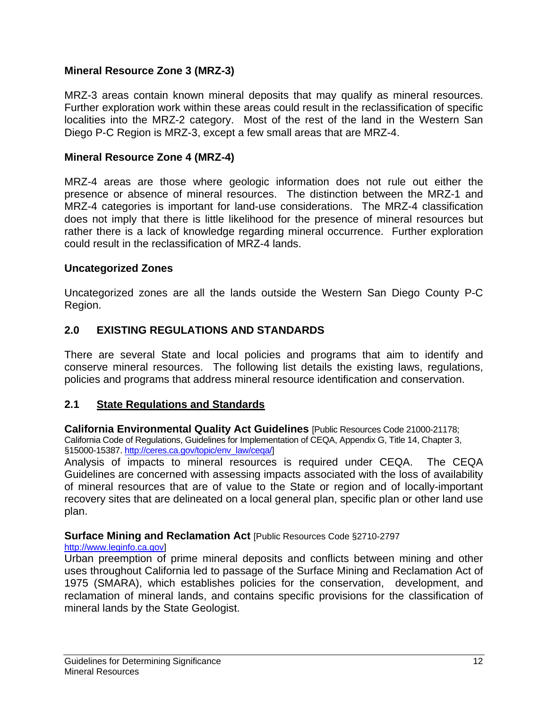### **Mineral Resource Zone 3 (MRZ-3)**

MRZ-3 areas contain known mineral deposits that may qualify as mineral resources. Further exploration work within these areas could result in the reclassification of specific localities into the MRZ-2 category. Most of the rest of the land in the Western San Diego P-C Region is MRZ-3, except a few small areas that are MRZ-4.

#### **Mineral Resource Zone 4 (MRZ-4)**

MRZ-4 areas are those where geologic information does not rule out either the presence or absence of mineral resources. The distinction between the MRZ-1 and MRZ-4 categories is important for land-use considerations. The MRZ-4 classification does not imply that there is little likelihood for the presence of mineral resources but rather there is a lack of knowledge regarding mineral occurrence. Further exploration could result in the reclassification of MRZ-4 lands.

#### **Uncategorized Zones**

Uncategorized zones are all the lands outside the Western San Diego County P-C Region.

## **2.0 EXISTING REGULATIONS AND STANDARDS**

There are several State and local policies and programs that aim to identify and conserve mineral resources. The following list details the existing laws, regulations, policies and programs that address mineral resource identification and conservation.

### **2.1 State Regulations and Standards**

**California Environmental Quality Act Guidelines** [Public Resources Code 21000-21178; California Code of Regulations, Guidelines for Implementation of CEQA, Appendix G, Title 14, Chapter 3, §15000-15387. http://ceres.ca.gov/topic/env\_law/ceqa/]

Analysis of impacts to mineral resources is required under CEQA. The CEQA Guidelines are concerned with assessing impacts associated with the loss of availability of mineral resources that are of value to the State or region and of locally-important recovery sites that are delineated on a local general plan, specific plan or other land use plan.

#### **Surface Mining and Reclamation Act** [Public Resources Code §2710-2797

#### http://www.leginfo.ca.gov]

Urban preemption of prime mineral deposits and conflicts between mining and other uses throughout California led to passage of the Surface Mining and Reclamation Act of 1975 (SMARA), which establishes policies for the conservation, development, and reclamation of mineral lands, and contains specific provisions for the classification of mineral lands by the State Geologist.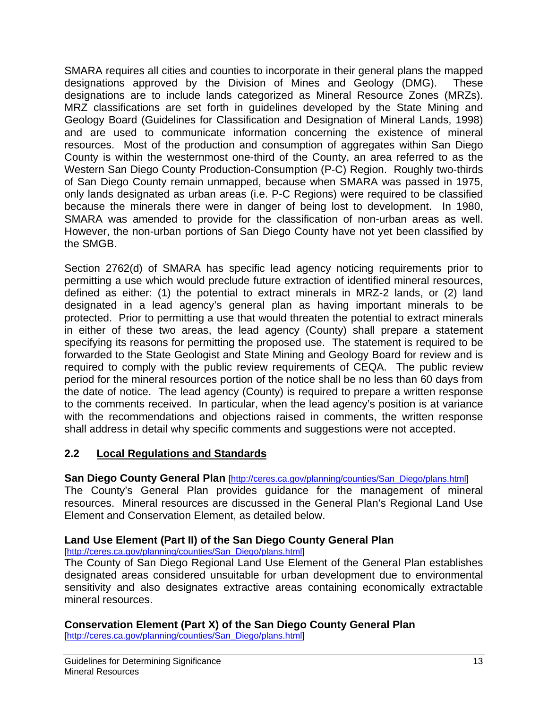SMARA requires all cities and counties to incorporate in their general plans the mapped designations approved by the Division of Mines and Geology (DMG). These designations are to include lands categorized as Mineral Resource Zones (MRZs). MRZ classifications are set forth in guidelines developed by the State Mining and Geology Board (Guidelines for Classification and Designation of Mineral Lands, 1998) and are used to communicate information concerning the existence of mineral resources. Most of the production and consumption of aggregates within San Diego County is within the westernmost one-third of the County, an area referred to as the Western San Diego County Production-Consumption (P-C) Region. Roughly two-thirds of San Diego County remain unmapped, because when SMARA was passed in 1975, only lands designated as urban areas (i.e. P-C Regions) were required to be classified because the minerals there were in danger of being lost to development. In 1980, SMARA was amended to provide for the classification of non-urban areas as well. However, the non-urban portions of San Diego County have not yet been classified by the SMGB.

Section 2762(d) of SMARA has specific lead agency noticing requirements prior to permitting a use which would preclude future extraction of identified mineral resources, defined as either: (1) the potential to extract minerals in MRZ-2 lands, or (2) land designated in a lead agency's general plan as having important minerals to be protected. Prior to permitting a use that would threaten the potential to extract minerals in either of these two areas, the lead agency (County) shall prepare a statement specifying its reasons for permitting the proposed use. The statement is required to be forwarded to the State Geologist and State Mining and Geology Board for review and is required to comply with the public review requirements of CEQA. The public review period for the mineral resources portion of the notice shall be no less than 60 days from the date of notice. The lead agency (County) is required to prepare a written response to the comments received. In particular, when the lead agency's position is at variance with the recommendations and objections raised in comments, the written response shall address in detail why specific comments and suggestions were not accepted.

# **2.2 Local Regulations and Standards**

### **San Diego County General Plan [http://ceres.ca.gov/planning/counties/San Diego/plans.html]**

The County's General Plan provides guidance for the management of mineral resources. Mineral resources are discussed in the General Plan's Regional Land Use Element and Conservation Element, as detailed below.

# **Land Use Element (Part II) of the San Diego County General Plan**

#### [http://ceres.ca.gov/planning/counties/San\_Diego/plans.html]

The County of San Diego Regional Land Use Element of the General Plan establishes designated areas considered unsuitable for urban development due to environmental sensitivity and also designates extractive areas containing economically extractable mineral resources.

### **Conservation Element (Part X) of the San Diego County General Plan**

[http://ceres.ca.gov/planning/counties/San\_Diego/plans.html]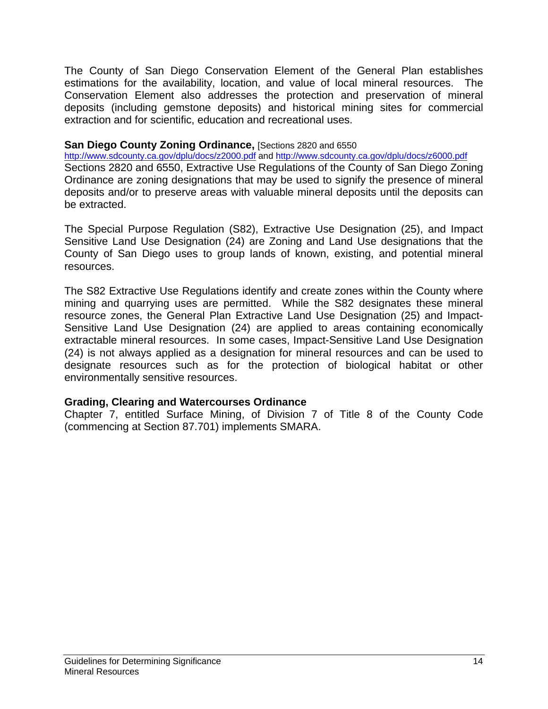The County of San Diego Conservation Element of the General Plan establishes estimations for the availability, location, and value of local mineral resources. The Conservation Element also addresses the protection and preservation of mineral deposits (including gemstone deposits) and historical mining sites for commercial extraction and for scientific, education and recreational uses.

#### **San Diego County Zoning Ordinance, [Sections 2820 and 6550]**

http://www.sdcounty.ca.gov/dplu/docs/z2000.pdf and http://www.sdcounty.ca.gov/dplu/docs/z6000.pdf Sections 2820 and 6550, Extractive Use Regulations of the County of San Diego Zoning Ordinance are zoning designations that may be used to signify the presence of mineral deposits and/or to preserve areas with valuable mineral deposits until the deposits can be extracted.

The Special Purpose Regulation (S82), Extractive Use Designation (25), and Impact Sensitive Land Use Designation (24) are Zoning and Land Use designations that the County of San Diego uses to group lands of known, existing, and potential mineral resources.

The S82 Extractive Use Regulations identify and create zones within the County where mining and quarrying uses are permitted. While the S82 designates these mineral resource zones, the General Plan Extractive Land Use Designation (25) and Impact-Sensitive Land Use Designation (24) are applied to areas containing economically extractable mineral resources. In some cases, Impact-Sensitive Land Use Designation (24) is not always applied as a designation for mineral resources and can be used to designate resources such as for the protection of biological habitat or other environmentally sensitive resources.

### **Grading, Clearing and Watercourses Ordinance**

Chapter 7, entitled Surface Mining, of Division 7 of Title 8 of the County Code (commencing at Section 87.701) implements SMARA.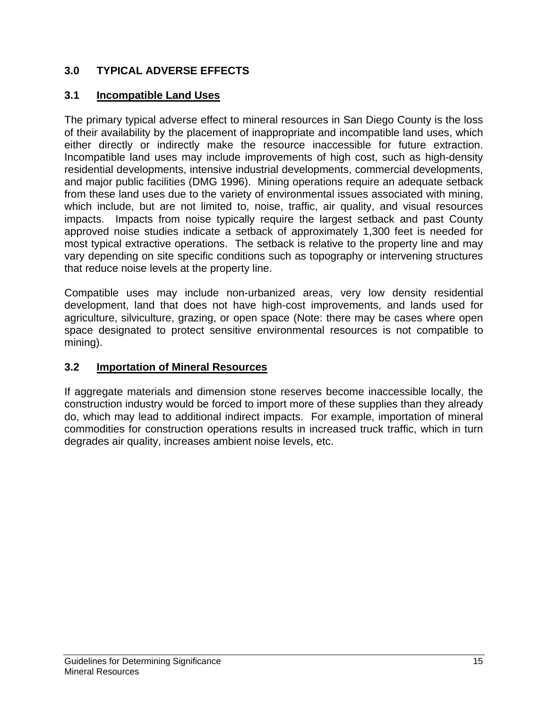# **3.0 TYPICAL ADVERSE EFFECTS**

# **3.1 Incompatible Land Uses**

The primary typical adverse effect to mineral resources in San Diego County is the loss of their availability by the placement of inappropriate and incompatible land uses, which either directly or indirectly make the resource inaccessible for future extraction. Incompatible land uses may include improvements of high cost, such as high-density residential developments, intensive industrial developments, commercial developments, and major public facilities (DMG 1996). Mining operations require an adequate setback from these land uses due to the variety of environmental issues associated with mining, which include, but are not limited to, noise, traffic, air quality, and visual resources impacts. Impacts from noise typically require the largest setback and past County approved noise studies indicate a setback of approximately 1,300 feet is needed for most typical extractive operations. The setback is relative to the property line and may vary depending on site specific conditions such as topography or intervening structures that reduce noise levels at the property line.

Compatible uses may include non-urbanized areas, very low density residential development, land that does not have high-cost improvements, and lands used for agriculture, silviculture, grazing, or open space (Note: there may be cases where open space designated to protect sensitive environmental resources is not compatible to mining).

# **3.2 Importation of Mineral Resources**

If aggregate materials and dimension stone reserves become inaccessible locally, the construction industry would be forced to import more of these supplies than they already do, which may lead to additional indirect impacts. For example, importation of mineral commodities for construction operations results in increased truck traffic, which in turn degrades air quality, increases ambient noise levels, etc.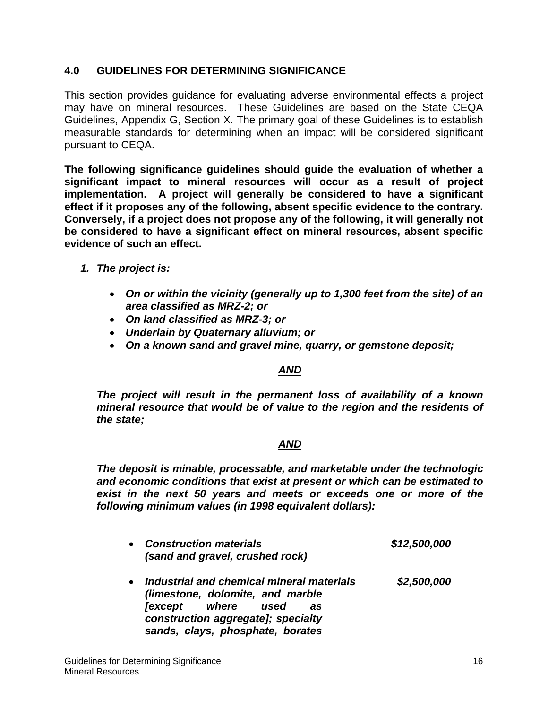## **4.0 GUIDELINES FOR DETERMINING SIGNIFICANCE**

This section provides guidance for evaluating adverse environmental effects a project may have on mineral resources. These Guidelines are based on the State CEQA Guidelines, Appendix G, Section X. The primary goal of these Guidelines is to establish measurable standards for determining when an impact will be considered significant pursuant to CEQA.

**The following significance guidelines should guide the evaluation of whether a significant impact to mineral resources will occur as a result of project implementation. A project will generally be considered to have a significant effect if it proposes any of the following, absent specific evidence to the contrary. Conversely, if a project does not propose any of the following, it will generally not be considered to have a significant effect on mineral resources, absent specific evidence of such an effect.** 

- *1. The project is:* 
	- *On or within the vicinity (generally up to 1,300 feet from the site) of an area classified as MRZ-2; or*
	- *On land classified as MRZ-3; or*
	- *Underlain by Quaternary alluvium; or*
	- *On a known sand and gravel mine, quarry, or gemstone deposit;*

### *AND*

*The project will result in the permanent loss of availability of a known mineral resource that would be of value to the region and the residents of the state;* 

### *AND*

*The deposit is minable, processable, and marketable under the technologic and economic conditions that exist at present or which can be estimated to exist in the next 50 years and meets or exceeds one or more of the following minimum values (in 1998 equivalent dollars):* 

| $\bullet$ | <b>Construction materials</b><br>(sand and gravel, crushed rock)                                                                                                                           | \$12,500,000 |
|-----------|--------------------------------------------------------------------------------------------------------------------------------------------------------------------------------------------|--------------|
| $\bullet$ | Industrial and chemical mineral materials<br>(limestone, dolomite, and marble<br><i>(except where used</i><br>as<br>construction aggregate]; specialty<br>sands, clays, phosphate, borates | \$2,500,000  |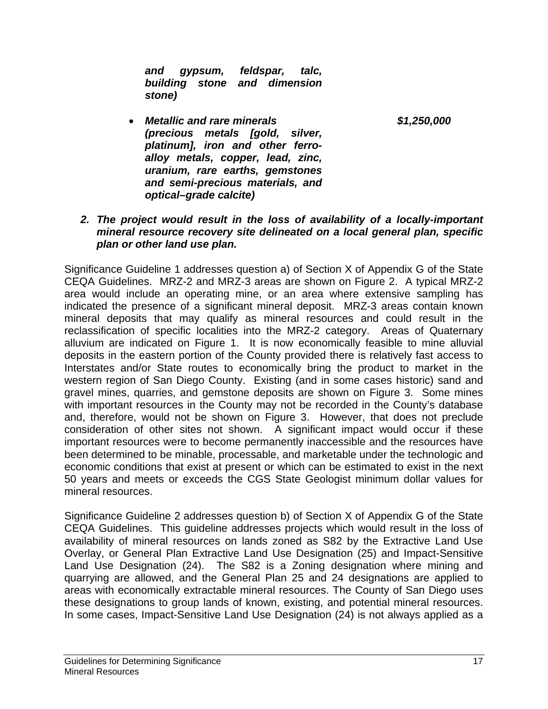*and gypsum, feldspar, talc, building stone and dimension stone)* 

• *Metallic and rare minerals \$1,250,000 (precious metals [gold, silver, platinum], iron and other ferroalloy metals, copper, lead, zinc, uranium, rare earths, gemstones and semi-precious materials, and optical–grade calcite)* 

#### *2. The project would result in the loss of availability of a locally-important mineral resource recovery site delineated on a local general plan, specific plan or other land use plan.*

Significance Guideline 1 addresses question a) of Section X of Appendix G of the State CEQA Guidelines. MRZ-2 and MRZ-3 areas are shown on Figure 2. A typical MRZ-2 area would include an operating mine, or an area where extensive sampling has indicated the presence of a significant mineral deposit. MRZ-3 areas contain known mineral deposits that may qualify as mineral resources and could result in the reclassification of specific localities into the MRZ-2 category. Areas of Quaternary alluvium are indicated on Figure 1. It is now economically feasible to mine alluvial deposits in the eastern portion of the County provided there is relatively fast access to Interstates and/or State routes to economically bring the product to market in the western region of San Diego County. Existing (and in some cases historic) sand and gravel mines, quarries, and gemstone deposits are shown on Figure 3. Some mines with important resources in the County may not be recorded in the County's database and, therefore, would not be shown on Figure 3. However, that does not preclude consideration of other sites not shown. A significant impact would occur if these important resources were to become permanently inaccessible and the resources have been determined to be minable, processable, and marketable under the technologic and economic conditions that exist at present or which can be estimated to exist in the next 50 years and meets or exceeds the CGS State Geologist minimum dollar values for mineral resources.

Significance Guideline 2 addresses question b) of Section X of Appendix G of the State CEQA Guidelines. This guideline addresses projects which would result in the loss of availability of mineral resources on lands zoned as S82 by the Extractive Land Use Overlay, or General Plan Extractive Land Use Designation (25) and Impact-Sensitive Land Use Designation (24). The S82 is a Zoning designation where mining and quarrying are allowed, and the General Plan 25 and 24 designations are applied to areas with economically extractable mineral resources. The County of San Diego uses these designations to group lands of known, existing, and potential mineral resources. In some cases, Impact-Sensitive Land Use Designation (24) is not always applied as a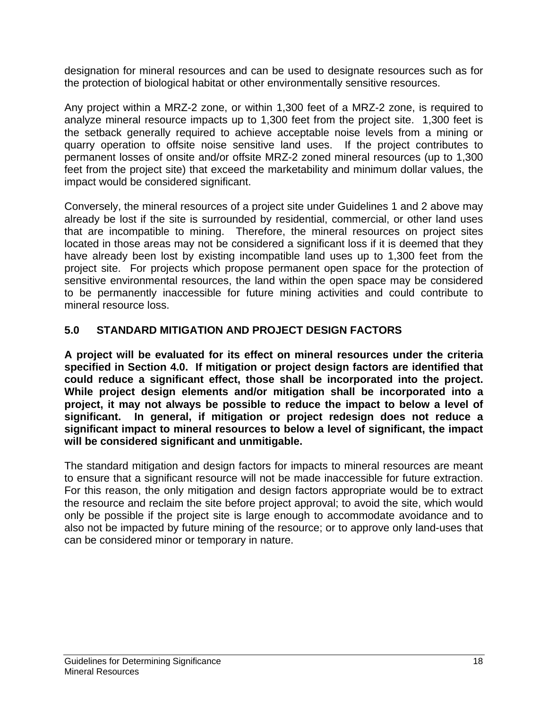designation for mineral resources and can be used to designate resources such as for the protection of biological habitat or other environmentally sensitive resources.

Any project within a MRZ-2 zone, or within 1,300 feet of a MRZ-2 zone, is required to analyze mineral resource impacts up to 1,300 feet from the project site. 1,300 feet is the setback generally required to achieve acceptable noise levels from a mining or quarry operation to offsite noise sensitive land uses. If the project contributes to permanent losses of onsite and/or offsite MRZ-2 zoned mineral resources (up to 1,300 feet from the project site) that exceed the marketability and minimum dollar values, the impact would be considered significant.

Conversely, the mineral resources of a project site under Guidelines 1 and 2 above may already be lost if the site is surrounded by residential, commercial, or other land uses that are incompatible to mining. Therefore, the mineral resources on project sites located in those areas may not be considered a significant loss if it is deemed that they have already been lost by existing incompatible land uses up to 1,300 feet from the project site. For projects which propose permanent open space for the protection of sensitive environmental resources, the land within the open space may be considered to be permanently inaccessible for future mining activities and could contribute to mineral resource loss.

# **5.0 STANDARD MITIGATION AND PROJECT DESIGN FACTORS**

**A project will be evaluated for its effect on mineral resources under the criteria specified in Section 4.0. If mitigation or project design factors are identified that could reduce a significant effect, those shall be incorporated into the project. While project design elements and/or mitigation shall be incorporated into a project, it may not always be possible to reduce the impact to below a level of significant. In general, if mitigation or project redesign does not reduce a significant impact to mineral resources to below a level of significant, the impact will be considered significant and unmitigable.**

The standard mitigation and design factors for impacts to mineral resources are meant to ensure that a significant resource will not be made inaccessible for future extraction. For this reason, the only mitigation and design factors appropriate would be to extract the resource and reclaim the site before project approval; to avoid the site, which would only be possible if the project site is large enough to accommodate avoidance and to also not be impacted by future mining of the resource; or to approve only land-uses that can be considered minor or temporary in nature.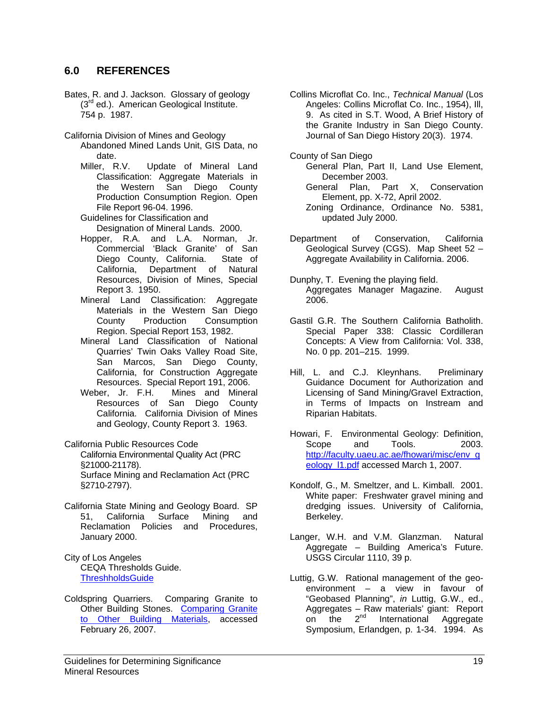#### **6.0 REFERENCES**

- Bates, R. and J. Jackson. Glossary of geology (3<sup>rd</sup> ed.). American Geological Institute. 754 p. 1987.
- California Division of Mines and Geology
	- Abandoned Mined Lands Unit, GIS Data, no date.
	- Miller, R.V. Update of Mineral Land Classification: Aggregate Materials in the Western San Diego County Production Consumption Region. Open File Report 96-04. 1996.

Guidelines for Classification and Designation of Mineral Lands. 2000.

- Hopper, R.A. and L.A. Norman, Jr. Commercial 'Black Granite' of San Diego County, California. State of California, Department of Natural Resources, Division of Mines, Special Report 3. 1950.
- Mineral Land Classification: Aggregate Materials in the Western San Diego County Production Consumption Region. Special Report 153, 1982.
- Mineral Land Classification of National Quarries' Twin Oaks Valley Road Site, San Marcos, San Diego County, California, for Construction Aggregate Resources. Special Report 191, 2006.
- Weber, Jr. F.H. Mines and Mineral Resources of San Diego County California. California Division of Mines and Geology, County Report 3. 1963.
- California Public Resources Code
	- California Environmental Quality Act (PRC §21000-21178). Surface Mining and Reclamation Act (PRC §2710-2797).
- California State Mining and Geology Board. SP 51, California Surface Mining and Reclamation Policies and Procedures, January 2000.
- City of Los Angeles CEQA Thresholds Guide. **ThreshholdsGuide**
- Coldspring Quarriers. Comparing Granite to Other Building Stones. Comparing Granite to Other Building Materials, accessed February 26, 2007.
- Collins Microflat Co. Inc., *Technical Manual* (Los Angeles: Collins Microflat Co. Inc., 1954), Ill, 9. As cited in S.T. Wood, A Brief History of the Granite Industry in San Diego County. Journal of San Diego History 20(3). 1974.
- County of San Diego
	- General Plan, Part II, Land Use Element, December 2003.
	- General Plan, Part X, Conservation Element, pp. X-72, April 2002.
	- Zoning Ordinance, Ordinance No. 5381, updated July 2000.
- Department of Conservation, California Geological Survey (CGS). Map Sheet 52 – Aggregate Availability in California. 2006.
- Dunphy, T. Evening the playing field. Aggregates Manager Magazine. August 2006.
- Gastil G.R. The Southern California Batholith. Special Paper 338: Classic Cordilleran Concepts: A View from California: Vol. 338, No. 0 pp. 201–215. 1999.
- Hill, L. and C.J. Kleynhans. Preliminary Guidance Document for Authorization and Licensing of Sand Mining/Gravel Extraction, in Terms of Impacts on Instream and Riparian Habitats.
- Howari, F. Environmental Geology: Definition, Scope and Tools. 2003. http://faculty.uaeu.ac.ae/fhowari/misc/env\_g eology\_l1.pdf accessed March 1, 2007.
- Kondolf, G., M. Smeltzer, and L. Kimball. 2001. White paper: Freshwater gravel mining and dredging issues. University of California, Berkeley.
- Langer, W.H. and V.M. Glanzman. Natural Aggregate – Building America's Future. USGS Circular 1110, 39 p.
- Luttig, G.W. Rational management of the geoenvironment – a view in favour of "Geobased Planning", *in* Luttig, G.W., ed., Aggregates – Raw materials' giant: Report on the 2<sup>nd</sup> International Aggregate Symposium, Erlandgen, p. 1-34. 1994. As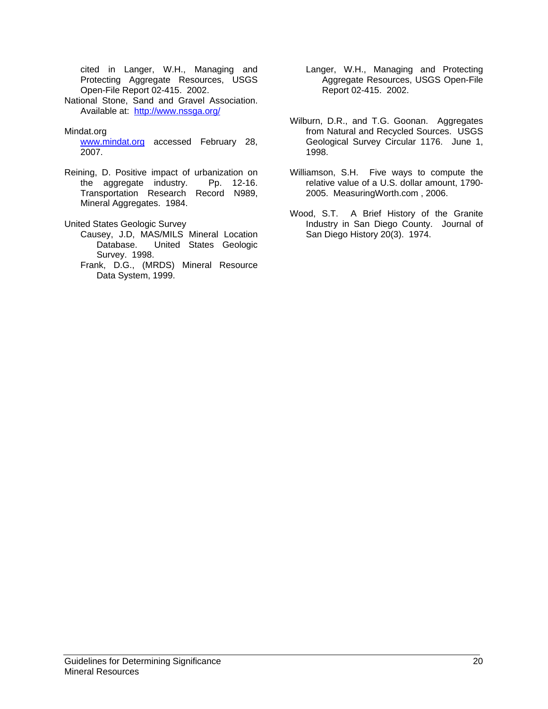cited in Langer, W.H., Managing and Protecting Aggregate Resources, USGS Open-File Report 02-415. 2002.

National Stone, Sand and Gravel Association. Available at: http://www.nssga.org/

#### Mindat.org

www.mindat.org accessed February 28, 2007.

Reining, D. Positive impact of urbanization on the aggregate industry. Pp. 12-16. Transportation Research Record N989, Mineral Aggregates. 1984.

United States Geologic Survey

- Causey, J.D, MAS/MILS Mineral Location Database. United States Geologic Survey. 1998.
- Frank, D.G., (MRDS) Mineral Resource Data System, 1999.
- Langer, W.H., Managing and Protecting Aggregate Resources, USGS Open-File Report 02-415. 2002.
- Wilburn, D.R., and T.G. Goonan. Aggregates from Natural and Recycled Sources. USGS Geological Survey Circular 1176. June 1, 1998.
- Williamson, S.H. Five ways to compute the relative value of a U.S. dollar amount, 1790- 2005. MeasuringWorth.com , 2006.
- Wood, S.T. A Brief History of the Granite Industry in San Diego County. Journal of San Diego History 20(3). 1974.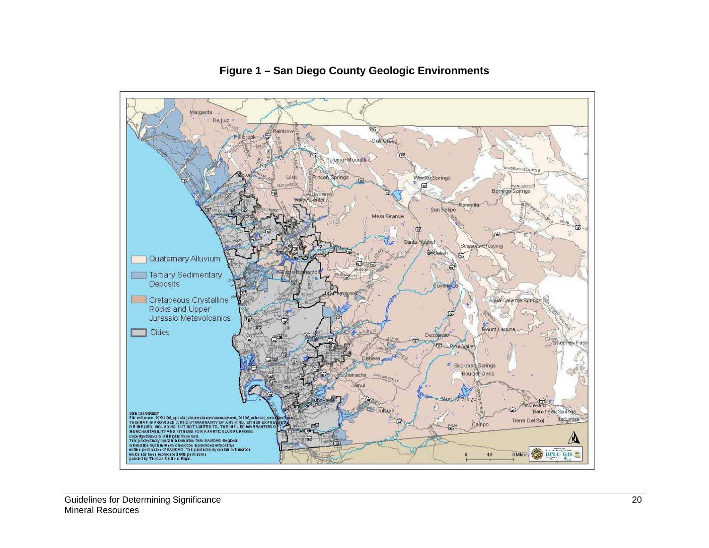

# **Figure 1 – San Diego County Geologic Environments**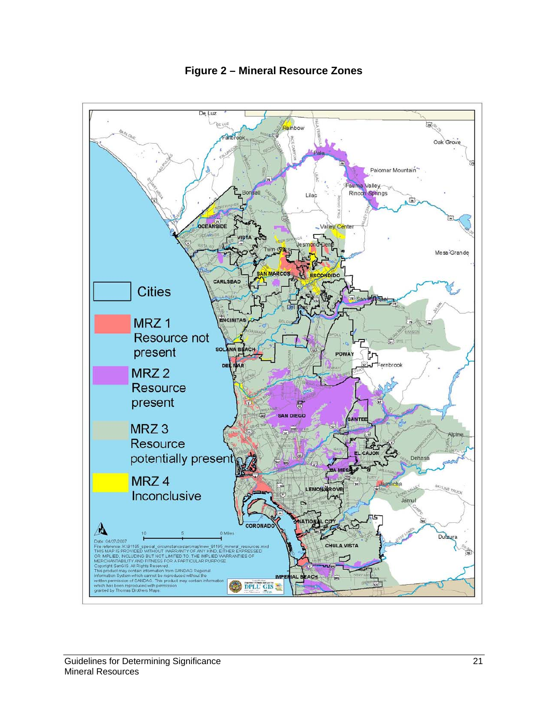

**Figure 2 – Mineral Resource Zones**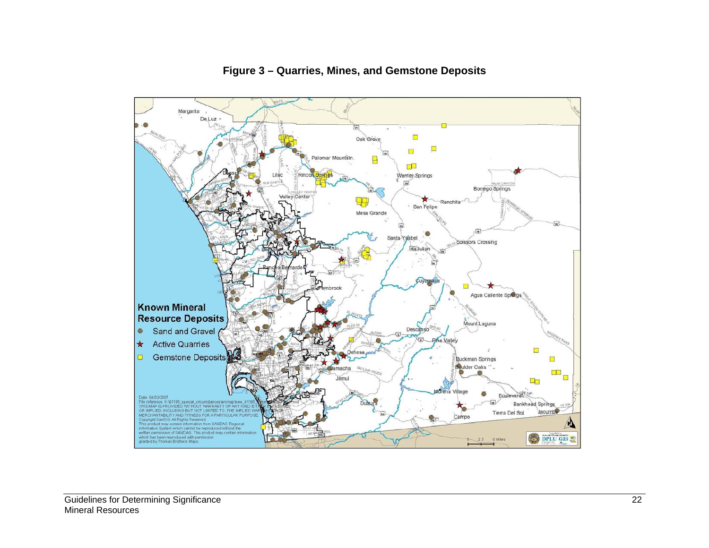

# **Figure 3 – Quarries, Mines, and Gemstone Deposits**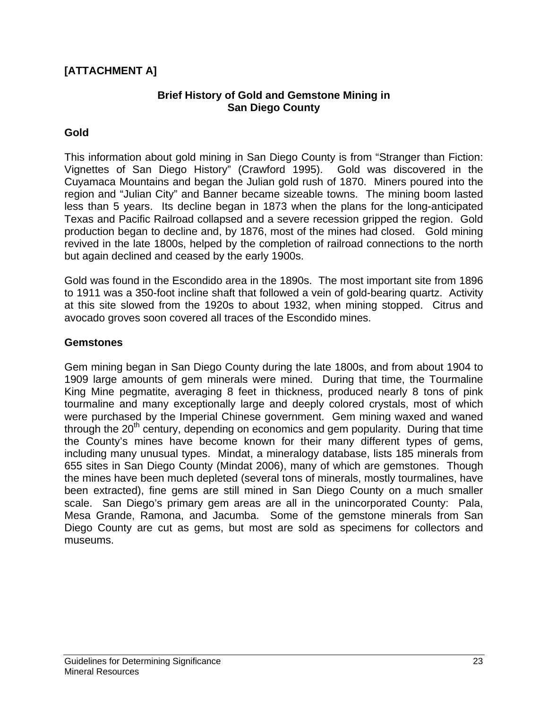# **[ATTACHMENT A]**

#### **Brief History of Gold and Gemstone Mining in San Diego County**

#### **Gold**

This information about gold mining in San Diego County is from "Stranger than Fiction: Vignettes of San Diego History" (Crawford 1995). Gold was discovered in the Cuyamaca Mountains and began the Julian gold rush of 1870. Miners poured into the region and "Julian City" and Banner became sizeable towns. The mining boom lasted less than 5 years. Its decline began in 1873 when the plans for the long-anticipated Texas and Pacific Railroad collapsed and a severe recession gripped the region. Gold production began to decline and, by 1876, most of the mines had closed. Gold mining revived in the late 1800s, helped by the completion of railroad connections to the north but again declined and ceased by the early 1900s.

Gold was found in the Escondido area in the 1890s. The most important site from 1896 to 1911 was a 350-foot incline shaft that followed a vein of gold-bearing quartz. Activity at this site slowed from the 1920s to about 1932, when mining stopped. Citrus and avocado groves soon covered all traces of the Escondido mines.

#### **Gemstones**

Gem mining began in San Diego County during the late 1800s, and from about 1904 to 1909 large amounts of gem minerals were mined. During that time, the Tourmaline King Mine pegmatite, averaging 8 feet in thickness, produced nearly 8 tons of pink tourmaline and many exceptionally large and deeply colored crystals, most of which were purchased by the Imperial Chinese government. Gem mining waxed and waned through the  $20<sup>th</sup>$  century, depending on economics and gem popularity. During that time the County's mines have become known for their many different types of gems, including many unusual types. Mindat, a mineralogy database, lists 185 minerals from 655 sites in San Diego County (Mindat 2006), many of which are gemstones. Though the mines have been much depleted (several tons of minerals, mostly tourmalines, have been extracted), fine gems are still mined in San Diego County on a much smaller scale. San Diego's primary gem areas are all in the unincorporated County: Pala, Mesa Grande, Ramona, and Jacumba. Some of the gemstone minerals from San Diego County are cut as gems, but most are sold as specimens for collectors and museums.